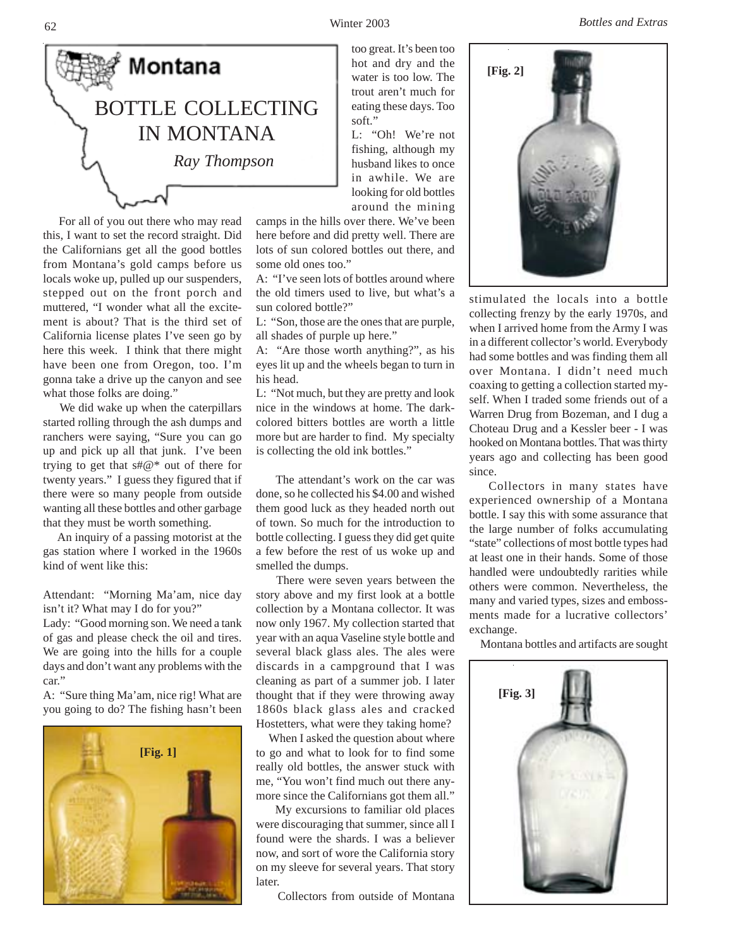Winter 2003 *Bottles and Extras*





 For all of you out there who may read this, I want to set the record straight. Did the Californians get all the good bottles from Montana's gold camps before us locals woke up, pulled up our suspenders, stepped out on the front porch and muttered, "I wonder what all the excitement is about? That is the third set of California license plates I've seen go by here this week. I think that there might have been one from Oregon, too. I'm gonna take a drive up the canyon and see what those folks are doing."

 We did wake up when the caterpillars started rolling through the ash dumps and ranchers were saying, "Sure you can go up and pick up all that junk. I've been trying to get that s#@\* out of there for twenty years." I guess they figured that if there were so many people from outside wanting all these bottles and other garbage that they must be worth something.

 An inquiry of a passing motorist at the gas station where I worked in the 1960s kind of went like this:

Attendant: "Morning Ma'am, nice day isn't it? What may I do for you?"

Lady: "Good morning son. We need a tank of gas and please check the oil and tires. We are going into the hills for a couple days and don't want any problems with the car."

A: "Sure thing Ma'am, nice rig! What are you going to do? The fishing hasn't been



too great. It's been too hot and dry and the water is too low. The trout aren't much for eating these days. Too soft."

L: "Oh! We're not fishing, although my husband likes to once in awhile. We are looking for old bottles around the mining

camps in the hills over there. We've been here before and did pretty well. There are lots of sun colored bottles out there, and some old ones too."

A: "I've seen lots of bottles around where the old timers used to live, but what's a sun colored bottle?"

L: "Son, those are the ones that are purple, all shades of purple up here."

A: "Are those worth anything?", as his eyes lit up and the wheels began to turn in his head.

L: "Not much, but they are pretty and look nice in the windows at home. The darkcolored bitters bottles are worth a little more but are harder to find. My specialty is collecting the old ink bottles."

 The attendant's work on the car was done, so he collected his \$4.00 and wished them good luck as they headed north out of town. So much for the introduction to bottle collecting. I guess they did get quite a few before the rest of us woke up and smelled the dumps.

 There were seven years between the story above and my first look at a bottle collection by a Montana collector. It was now only 1967. My collection started that year with an aqua Vaseline style bottle and several black glass ales. The ales were discards in a campground that I was cleaning as part of a summer job. I later thought that if they were throwing away 1860s black glass ales and cracked Hostetters, what were they taking home?

 When I asked the question about where to go and what to look for to find some really old bottles, the answer stuck with me, "You won't find much out there anymore since the Californians got them all."

 My excursions to familiar old places were discouraging that summer, since all I found were the shards. I was a believer now, and sort of wore the California story on my sleeve for several years. That story later.

Collectors from outside of Montana



stimulated the locals into a bottle collecting frenzy by the early 1970s, and when I arrived home from the Army I was in a different collector's world. Everybody had some bottles and was finding them all over Montana. I didn't need much coaxing to getting a collection started myself. When I traded some friends out of a Warren Drug from Bozeman, and I dug a Choteau Drug and a Kessler beer - I was hooked on Montana bottles. That was thirty years ago and collecting has been good since.

 Collectors in many states have experienced ownership of a Montana bottle. I say this with some assurance that the large number of folks accumulating "state" collections of most bottle types had at least one in their hands. Some of those handled were undoubtedly rarities while others were common. Nevertheless, the many and varied types, sizes and embossments made for a lucrative collectors' exchange.

Montana bottles and artifacts are sought

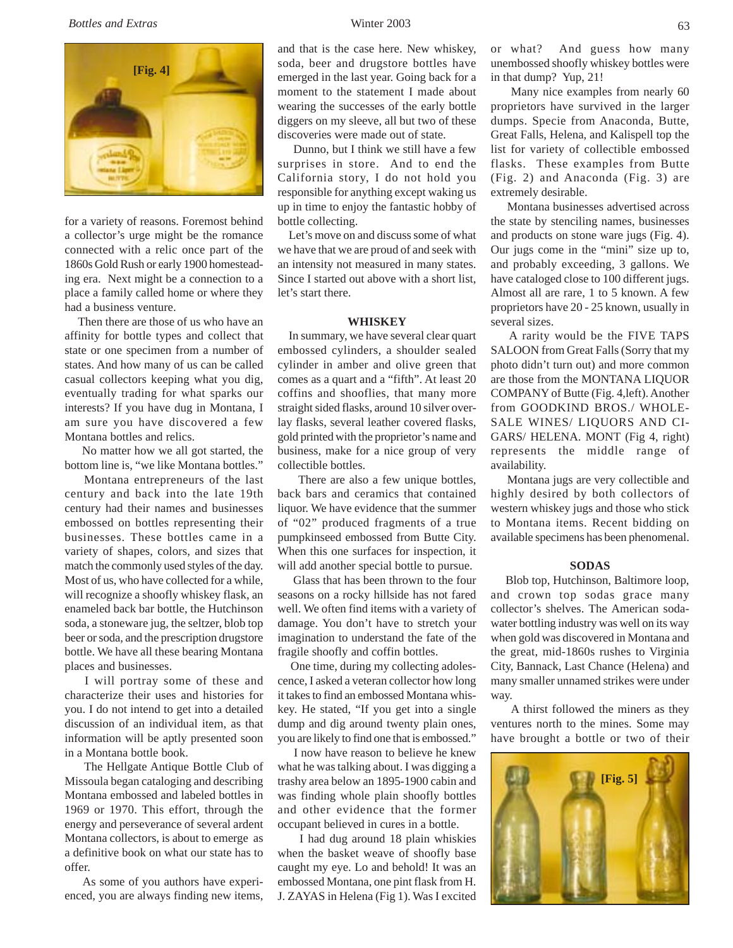*Bottles and Extras* Winter 2003



for a variety of reasons. Foremost behind a collector's urge might be the romance connected with a relic once part of the 1860s Gold Rush or early 1900 homesteading era. Next might be a connection to a place a family called home or where they had a business venture.

 Then there are those of us who have an affinity for bottle types and collect that state or one specimen from a number of states. And how many of us can be called casual collectors keeping what you dig, eventually trading for what sparks our interests? If you have dug in Montana, I am sure you have discovered a few Montana bottles and relics.

 No matter how we all got started, the bottom line is, "we like Montana bottles."

 Montana entrepreneurs of the last century and back into the late 19th century had their names and businesses embossed on bottles representing their businesses. These bottles came in a variety of shapes, colors, and sizes that match the commonly used styles of the day. Most of us, who have collected for a while, will recognize a shoofly whiskey flask, an enameled back bar bottle, the Hutchinson soda, a stoneware jug, the seltzer, blob top beer or soda, and the prescription drugstore bottle. We have all these bearing Montana places and businesses.

 I will portray some of these and characterize their uses and histories for you. I do not intend to get into a detailed discussion of an individual item, as that information will be aptly presented soon in a Montana bottle book.

Montana embossed and labeled bottles in 1969 or 1970. This effort, through the energy and perseverance of several ardent Montana collectors, is about to emerge as a definitive book on what our state has to offer. The Hellgate Antique Bottle Club of Missoula began cataloging and describing

 As some of you authors have experienced, you are always finding new items,

# and that is the case here. New whiskey, soda, beer and drugstore bottles have emerged in the last year. Going back for a moment to the statement I made about wearing the successes of the early bottle diggers on my sleeve, all but two of these discoveries were made out of state.

 Dunno, but I think we still have a few surprises in store. And to end the California story, I do not hold you responsible for anything except waking us up in time to enjoy the fantastic hobby of bottle collecting.

 Let's move on and discuss some of what we have that we are proud of and seek with an intensity not measured in many states. Since I started out above with a short list, let's start there.

## **WHISKEY**

 In summary, we have several clear quart embossed cylinders, a shoulder sealed cylinder in amber and olive green that comes as a quart and a "fifth". At least 20 coffins and shooflies, that many more straight sided flasks, around 10 silver overlay flasks, several leather covered flasks, gold printed with the proprietor's name and business, make for a nice group of very collectible bottles.

 There are also a few unique bottles, back bars and ceramics that contained liquor. We have evidence that the summer of "02" produced fragments of a true pumpkinseed embossed from Butte City. When this one surfaces for inspection, it will add another special bottle to pursue.

 Glass that has been thrown to the four seasons on a rocky hillside has not fared well. We often find items with a variety of damage. You don't have to stretch your imagination to understand the fate of the fragile shoofly and coffin bottles.

 One time, during my collecting adolescence, I asked a veteran collector how long it takes to find an embossed Montana whiskey. He stated, "If you get into a single dump and dig around twenty plain ones, you are likely to find one that is embossed."

 I now have reason to believe he knew what he was talking about. I was digging a trashy area below an 1895-1900 cabin and was finding whole plain shoofly bottles and other evidence that the former occupant believed in cures in a bottle.

 I had dug around 18 plain whiskies when the basket weave of shoofly base caught my eye. Lo and behold! It was an embossed Montana, one pint flask from H. J. ZAYAS in Helena (Fig 1). Was I excited

or what? And guess how many unembossed shoofly whiskey bottles were in that dump? Yup, 21!

 Many nice examples from nearly 60 proprietors have survived in the larger dumps. Specie from Anaconda, Butte, Great Falls, Helena, and Kalispell top the list for variety of collectible embossed flasks. These examples from Butte (Fig. 2) and Anaconda (Fig. 3) are extremely desirable.

 Montana businesses advertised across the state by stenciling names, businesses and products on stone ware jugs (Fig. 4). Our jugs come in the "mini" size up to, and probably exceeding, 3 gallons. We have cataloged close to 100 different jugs. Almost all are rare, 1 to 5 known. A few proprietors have 20 - 25 known, usually in several sizes.

 A rarity would be the FIVE TAPS SALOON from Great Falls (Sorry that my photo didn't turn out) and more common are those from the MONTANA LIQUOR COMPANY of Butte (Fig. 4,left). Another from GOODKIND BROS./ WHOLE-SALE WINES/ LIQUORS AND CI-GARS/ HELENA. MONT (Fig 4, right) represents the middle range of availability.

 Montana jugs are very collectible and highly desired by both collectors of western whiskey jugs and those who stick to Montana items. Recent bidding on available specimens has been phenomenal.

# **SODAS**

 Blob top, Hutchinson, Baltimore loop, and crown top sodas grace many collector's shelves. The American sodawater bottling industry was well on its way when gold was discovered in Montana and the great, mid-1860s rushes to Virginia City, Bannack, Last Chance (Helena) and many smaller unnamed strikes were under way.

 A thirst followed the miners as they ventures north to the mines. Some may have brought a bottle or two of their

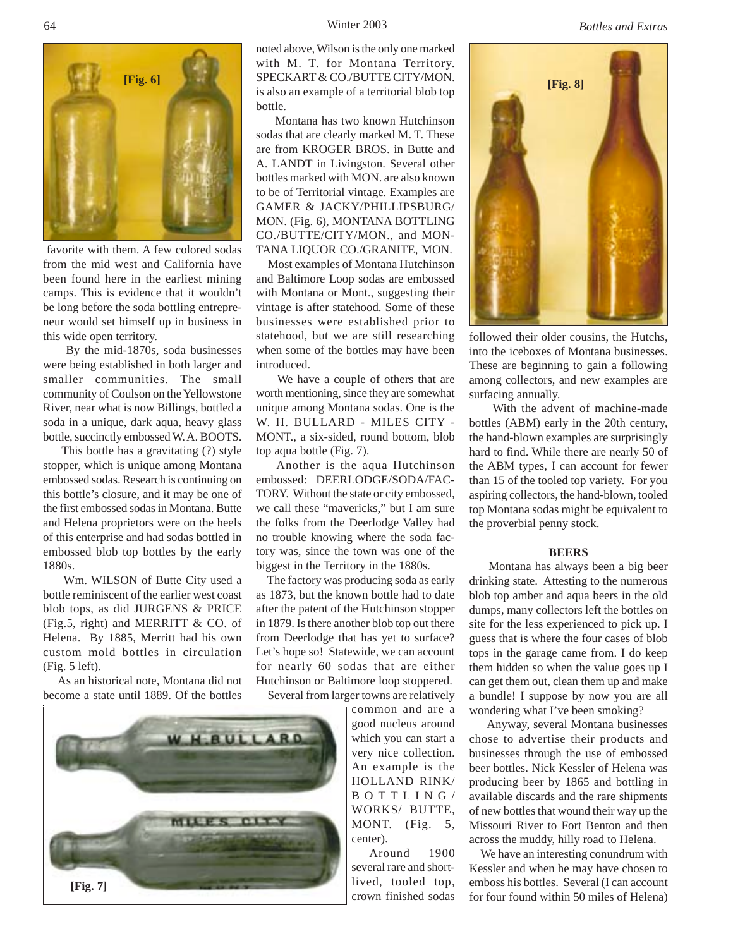Winter 2003 *Bottles and Extras*



 favorite with them. A few colored sodas from the mid west and California have been found here in the earliest mining camps. This is evidence that it wouldn't be long before the soda bottling entrepreneur would set himself up in business in this wide open territory.

 By the mid-1870s, soda businesses were being established in both larger and smaller communities. The small community of Coulson on the Yellowstone River, near what is now Billings, bottled a soda in a unique, dark aqua, heavy glass bottle, succinctly embossed W. A. BOOTS.

 This bottle has a gravitating (?) style stopper, which is unique among Montana embossed sodas. Research is continuing on this bottle's closure, and it may be one of the first embossed sodas in Montana. Butte and Helena proprietors were on the heels of this enterprise and had sodas bottled in embossed blob top bottles by the early 1880s.

 Wm. WILSON of Butte City used a bottle reminiscent of the earlier west coast blob tops, as did JURGENS & PRICE (Fig.5, right) and MERRITT & CO. of Helena. By 1885, Merritt had his own custom mold bottles in circulation (Fig. 5 left).

 As an historical note, Montana did not become a state until 1889. Of the bottles



**[Fig. 6] [Fig. 8]** SPECKART & CO./BUTTE CITY/MON. noted above, Wilson is the only one marked with M. T. for Montana Territory. is also an example of a territorial blob top bottle.

> Montana has two known Hutchinson sodas that are clearly marked M. T. These are from KROGER BROS. in Butte and A. LANDT in Livingston. Several other bottles marked with MON. are also known to be of Territorial vintage. Examples are GAMER & JACKY/PHILLIPSBURG/ MON. (Fig. 6), MONTANA BOTTLING CO./BUTTE/CITY/MON., and MON-TANA LIQUOR CO./GRANITE, MON.

> Most examples of Montana Hutchinson and Baltimore Loop sodas are embossed with Montana or Mont., suggesting their vintage is after statehood. Some of these businesses were established prior to statehood, but we are still researching when some of the bottles may have been introduced.

> We have a couple of others that are worth mentioning, since they are somewhat unique among Montana sodas. One is the W. H. BULLARD - MILES CITY - MONT., a six-sided, round bottom, blob top aqua bottle (Fig. 7).

> Another is the aqua Hutchinson embossed: DEERLODGE/SODA/FAC-TORY. Without the state or city embossed, we call these "mavericks," but I am sure the folks from the Deerlodge Valley had no trouble knowing where the soda factory was, since the town was one of the biggest in the Territory in the 1880s.

> The factory was producing soda as early as 1873, but the known bottle had to date after the patent of the Hutchinson stopper in 1879. Is there another blob top out there from Deerlodge that has yet to surface? Let's hope so! Statewide, we can account for nearly 60 sodas that are either Hutchinson or Baltimore loop stoppered. Several from larger towns are relatively

common and are a good nucleus around which you can start a very nice collection. An example is the HOLLAND RINK/ BOTTLING/ WORKS/ BUTTE, MONT. (Fig. 5, center).

 Around 1900 several rare and shortlived, tooled top, crown finished sodas



followed their older cousins, the Hutchs, into the iceboxes of Montana businesses. These are beginning to gain a following among collectors, and new examples are surfacing annually.

 With the advent of machine-made bottles (ABM) early in the 20th century, the hand-blown examples are surprisingly hard to find. While there are nearly 50 of the ABM types, I can account for fewer than 15 of the tooled top variety. For you aspiring collectors, the hand-blown, tooled top Montana sodas might be equivalent to the proverbial penny stock.

### **BEERS**

 Montana has always been a big beer drinking state. Attesting to the numerous blob top amber and aqua beers in the old dumps, many collectors left the bottles on site for the less experienced to pick up. I guess that is where the four cases of blob tops in the garage came from. I do keep them hidden so when the value goes up I can get them out, clean them up and make a bundle! I suppose by now you are all wondering what I've been smoking?

 Anyway, several Montana businesses chose to advertise their products and businesses through the use of embossed beer bottles. Nick Kessler of Helena was producing beer by 1865 and bottling in available discards and the rare shipments of new bottles that wound their way up the Missouri River to Fort Benton and then across the muddy, hilly road to Helena.

 We have an interesting conundrum with Kessler and when he may have chosen to emboss his bottles. Several (I can account for four found within 50 miles of Helena)

64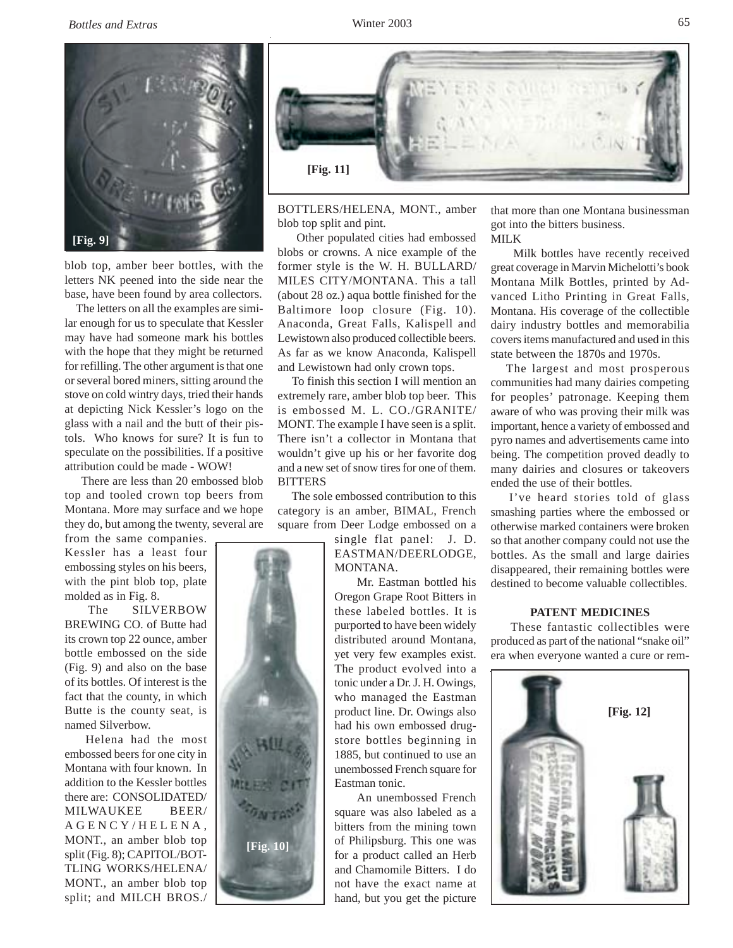

blob top, amber beer bottles, with the letters NK peened into the side near the base, have been found by area collectors.

 The letters on all the examples are similar enough for us to speculate that Kessler may have had someone mark his bottles with the hope that they might be returned for refilling. The other argument is that one or several bored miners, sitting around the stove on cold wintry days, tried their hands at depicting Nick Kessler's logo on the glass with a nail and the butt of their pistols. Who knows for sure? It is fun to speculate on the possibilities. If a positive attribution could be made - WOW!

 There are less than 20 embossed blob top and tooled crown top beers from Montana. More may surface and we hope they do, but among the twenty, several are

from the same companies. Kessler has a least four embossing styles on his beers, with the pint blob top, plate molded as in Fig. 8.

 The SILVERBOW BREWING CO. of Butte had its crown top 22 ounce, amber bottle embossed on the side (Fig. 9) and also on the base of its bottles. Of interest is the fact that the county, in which Butte is the county seat, is named Silverbow.

 Helena had the most embossed beers for one city in Montana with four known. In addition to the Kessler bottles there are: CONSOLIDATED/ MILWAUKEE BEER/ AGENCY/HELENA, MONT., an amber blob top split (Fig. 8); CAPITOL/BOT-TLING WORKS/HELENA/ MONT., an amber blob top split; and MILCH BROS./

**[Fig. 10]**



BOTTLERS/HELENA, MONT., amber blob top split and pint.

 Other populated cities had embossed blobs or crowns. A nice example of the former style is the W. H. BULLARD/ MILES CITY/MONTANA. This a tall (about 28 oz.) aqua bottle finished for the Baltimore loop closure (Fig. 10). Anaconda, Great Falls, Kalispell and Lewistown also produced collectible beers. As far as we know Anaconda, Kalispell and Lewistown had only crown tops.

 To finish this section I will mention an extremely rare, amber blob top beer. This is embossed M. L. CO./GRANITE/ MONT. The example I have seen is a split. There isn't a collector in Montana that wouldn't give up his or her favorite dog and a new set of snow tires for one of them. BITTERS

 The sole embossed contribution to this category is an amber, BIMAL, French square from Deer Lodge embossed on a

> single flat panel: J. D. EASTMAN/DEERLODGE, MONTANA.

> Mr. Eastman bottled his Oregon Grape Root Bitters in these labeled bottles. It is purported to have been widely distributed around Montana, yet very few examples exist. The product evolved into a tonic under a Dr. J. H. Owings, who managed the Eastman product line. Dr. Owings also had his own embossed drugstore bottles beginning in 1885, but continued to use an unembossed French square for Eastman tonic.

> An unembossed French square was also labeled as a bitters from the mining town of Philipsburg. This one was for a product called an Herb and Chamomile Bitters. I do not have the exact name at hand, but you get the picture

that more than one Montana businessman got into the bitters business. MILK

 Milk bottles have recently received great coverage in Marvin Michelotti's book Montana Milk Bottles, printed by Advanced Litho Printing in Great Falls, Montana. His coverage of the collectible dairy industry bottles and memorabilia covers items manufactured and used in this state between the 1870s and 1970s.

 The largest and most prosperous communities had many dairies competing for peoples' patronage. Keeping them aware of who was proving their milk was important, hence a variety of embossed and pyro names and advertisements came into being. The competition proved deadly to many dairies and closures or takeovers ended the use of their bottles.

 I've heard stories told of glass smashing parties where the embossed or otherwise marked containers were broken so that another company could not use the bottles. As the small and large dairies disappeared, their remaining bottles were destined to become valuable collectibles.

# **PATENT MEDICINES**

 These fantastic collectibles were produced as part of the national "snake oil" era when everyone wanted a cure or rem-